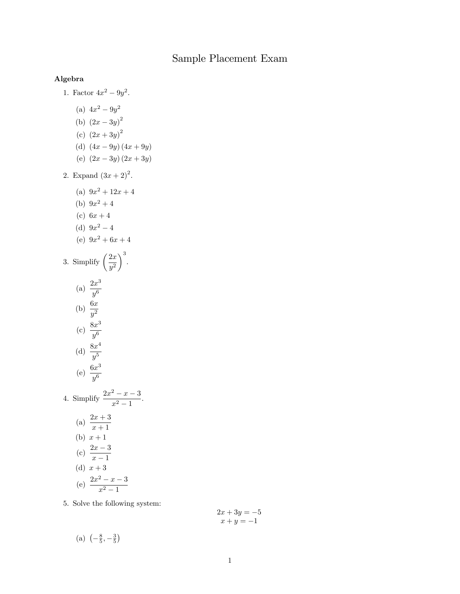## Sample Placement Exam

## Algebra

1. Factor  $4x^2 - 9y^2$ .

(a) 
$$
4x^2 - 9y^2
$$

- (b)  $(2x-3y)^2$
- (c)  $(2x+3y)^2$
- (d)  $(4x 9y)(4x + 9y)$
- (e)  $(2x 3y)(2x + 3y)$
- 2. Expand  $(3x + 2)^2$ .

(a) 
$$
9x^2 + 12x + 4
$$

- (b)  $9x^2 + 4$
- (c)  $6x + 4$
- (d)  $9x^2 4$
- (e)  $9x^2 + 6x + 4$

3. Simplify 
$$
\left(\frac{2x}{y^2}\right)^3
$$
.

(a) 
$$
\frac{2x^3}{y^6}
$$
  
(b)  $\frac{6x}{y^2}$ 

(c) 
$$
\frac{8x^3}{y^6}
$$
  
(d)  $\frac{8x^4}{y^5}$ 

(e) 
$$
\frac{6x^3}{y^6}
$$

4. Simplify 
$$
\frac{2x^2 - x - 3}{x^2 - 1}
$$
.  
\n(a)  $\frac{2x + 3}{x + 1}$   
\n(b)  $x + 1$   
\n(c)  $\frac{2x - 3}{x - 1}$   
\n(d)  $x + 3$   
\n(e)  $\frac{2x^2 - x - 3}{x^2 - 1}$ 

5. Solve the following system:

$$
2x + 3y = -5
$$

$$
x + y = -1
$$

(a)  $\left(-\frac{8}{5}, -\frac{3}{5}\right)$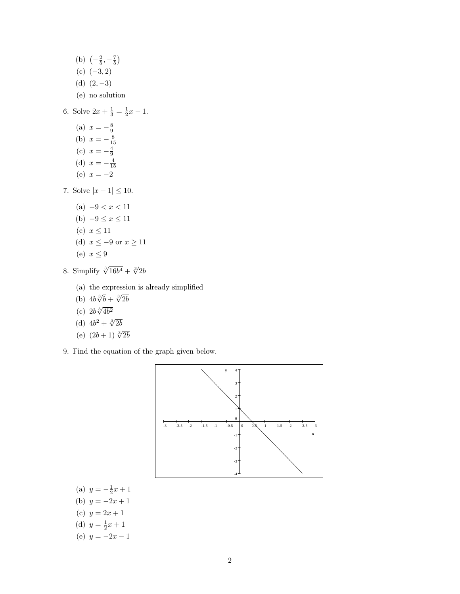(b)  $\left(-\frac{2}{5}, -\frac{7}{5}\right)$ (c)  $(-3, 2)$ (d)  $(2, -3)$ (e) no solution 6. Solve  $2x + \frac{1}{3} = \frac{1}{2}x - 1$ .

- (a)  $x = -\frac{8}{9}$ (b)  $x = -\frac{8}{15}$ (c)  $x = -\frac{4}{9}$ (d)  $x = -\frac{4}{15}$ (e)  $x = -2$
- 7. Solve  $|x 1| \le 10$ .
	- (a)  $-9 < x < 11$ (b)  $-9 \le x \le 11$ (c)  $x \leq 11$ (d)  $x \le -9$  or  $x \ge 11$ (e)  $x \leq 9$
- 8. Simplify  $\sqrt[3]{16b^4} + \sqrt[3]{2b}$ 
	- (a) the expression is already simplified
	- (b)  $4b\sqrt[3]{b} + \sqrt[3]{2b}$
	- (c)  $2b\sqrt[3]{4b^2}$
	- (d)  $4b^2 + \sqrt[3]{2b}$
	- (e)  $(2b+1)\sqrt[3]{2b}$
- 9. Find the equation of the graph given below.



- (a)  $y = -\frac{1}{2}x + 1$ (b)  $y = -2x + 1$
- (c)  $y = 2x + 1$
- (d)  $y = \frac{1}{2}x + 1$
- (e)  $y = -2x 1$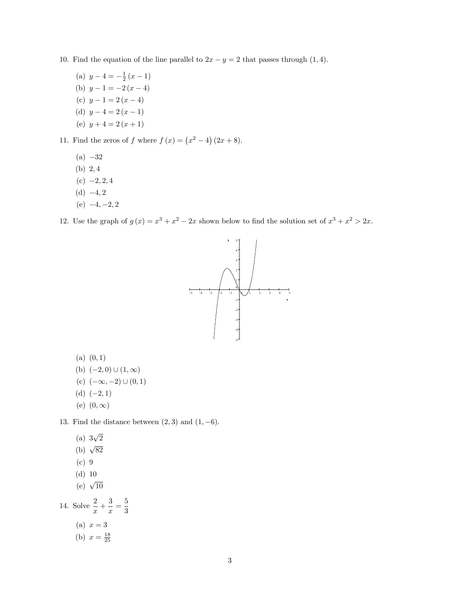- 10. Find the equation of the line parallel to  $2x y = 2$  that passes through  $(1, 4)$ .
	- (a)  $y 4 = -\frac{1}{2}(x 1)$ (b)  $y - 1 = -2(x - 4)$ (c)  $y - 1 = 2(x - 4)$ (d)  $y - 4 = 2(x - 1)$ (e)  $y+4=2(x+1)$

11. Find the zeros of f where  $f(x) = (x^2 - 4)(2x + 8)$ .

- $(a) -32$
- (b)  $2,4$
- $(c) -2, 2, 4$
- (d)  $-4, 2$
- (e)  $-4, -2, 2$

12. Use the graph of  $g(x) = x^3 + x^2 - 2x$  shown below to find the solution set of  $x^3 + x^2 > 2x$ .



- $(a)$   $(0, 1)$
- (b)  $(-2,0) \cup (1,\infty)$
- (c)  $(-\infty, -2) \cup (0, 1)$
- (d)  $(-2, 1)$
- (e)  $(0,\infty)$

13. Find the distance between  $(2,3)$  and  $(1,-6)$ .

- (a)  $3\sqrt{2}$
- (b)  $\sqrt{82}$
- (c) 9
- (d) 10
- (e)  $\sqrt{10}$

14. Solve  $\frac{2}{x} + \frac{3}{x}$  $\frac{3}{x} = \frac{5}{3}$ 3

- (a)  $x = 3$
- (b)  $x = \frac{18}{25}$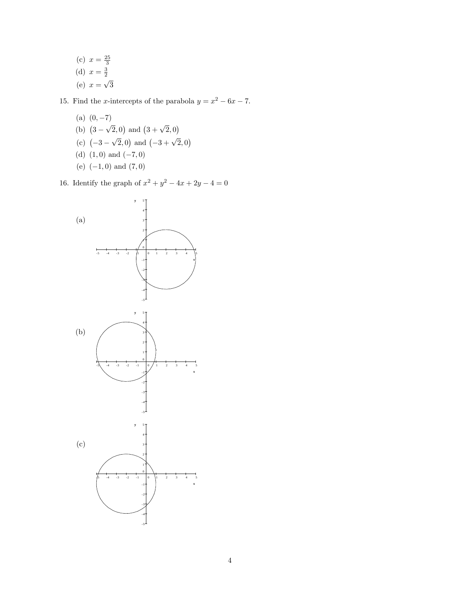(c) 
$$
x = \frac{25}{3}
$$
  
(d)  $x = \frac{3}{2}$   
(e)  $x = \sqrt{3}$ 

15. Find the *x*-intercepts of the parabola  $y = x^2 - 6x - 7$ .

(a)  $(0, -7)$ (b)  $(3 - \sqrt{2}, 0)$  and  $(3 + \sqrt{2}, 0)$ (c)  $(-3 - \sqrt{2}, 0)$  and  $(-3 + \sqrt{2}, 0)$ (d)  $(1,0)$  and  $(-7,0)$ (e)  $(-1, 0)$  and  $(7, 0)$ 

16. Identify the graph of  $x^2 + y^2 - 4x + 2y - 4 = 0$ 

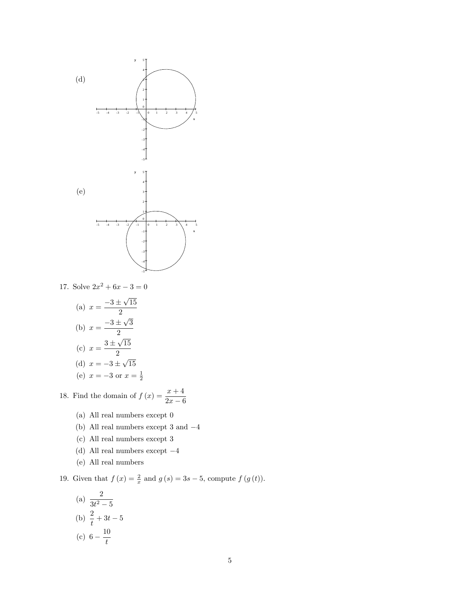

17. Solve  $2x^2 + 6x - 3 = 0$ 

(a) 
$$
x = \frac{-3 \pm \sqrt{15}}{2}
$$
  
\n(b)  $x = \frac{-3 \pm \sqrt{3}}{2}$   
\n(c)  $x = \frac{3 \pm \sqrt{15}}{2}$   
\n(d)  $x = -3 \pm \sqrt{15}$   
\n(e)  $x = -3$  or  $x = \frac{1}{2}$ 

18. Find the domain of  $f(x) = \frac{x+4}{2}$  $2x - 6$ 

- (a) All real numbers except 0
- (b) All real numbers except 3 and  $-4$
- (c) All real numbers except 3
- (d) All real numbers except  $-4$
- (e) All real numbers

19. Given that  $f(x) = \frac{2}{x}$  and  $g(s) = 3s - 5$ , compute  $f(g(t))$ .

(a) 
$$
\frac{2}{3t^2 - 5}
$$
  
\n(b)  $\frac{2}{t} + 3t - 5$   
\n(c)  $6 - \frac{10}{t}$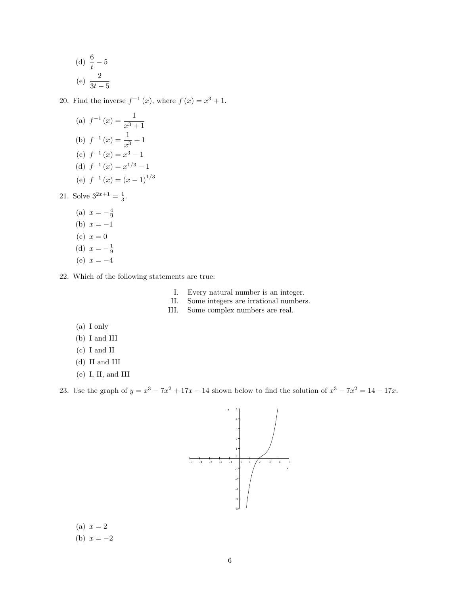(d) 
$$
\frac{6}{t} - 5
$$
  
(e)  $\frac{2}{3t - 5}$ 

20. Find the inverse  $f^{-1}(x)$ , where  $f(x) = x^3 + 1$ .

(a) 
$$
f^{-1}(x) = \frac{1}{x^3 + 1}
$$
  
\n(b)  $f^{-1}(x) = \frac{1}{x^3} + 1$   
\n(c)  $f^{-1}(x) = x^3 - 1$   
\n(d)  $f^{-1}(x) = x^{1/3} - 1$   
\n(e)  $f^{-1}(x) = (x - 1)^{1/3}$ 

21. Solve  $3^{2x+1} = \frac{1}{3}$ .

- (a)  $x = -\frac{4}{9}$ (b)  $x = -1$ (c)  $x = 0$ (d)  $x = -\frac{1}{9}$ (e)  $x = -4$
- 22. Which of the following statements are true:
	- I. Every natural number is an integer.
	- II. Some integers are irrational numbers.
	- III. Some complex numbers are real.
	- (a) I only
	- (b) I and III
	- (c) I and II
	- (d) II and III
	- (e) I, II, and III

23. Use the graph of  $y = x^3 - 7x^2 + 17x - 14$  shown below to find the solution of  $x^3 - 7x^2 = 14 - 17x$ .



(a) 
$$
x = 2
$$
  
(b)  $x = -2$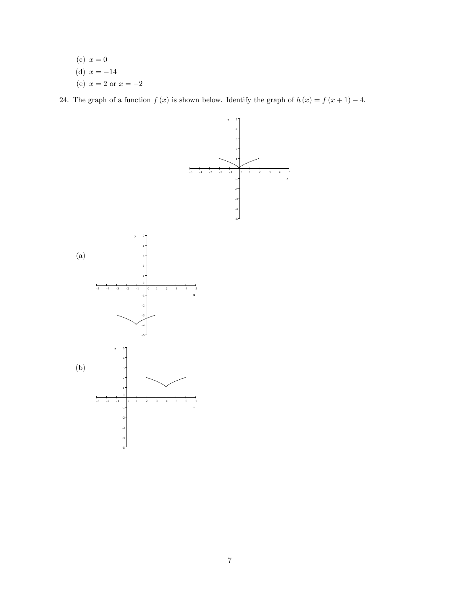(c) 
$$
x = 0
$$
  
(d)  $x = -14$   
(e)  $x = 2$  or  $x = -2$ 

24. The graph of a function  $f(x)$  is shown below. Identify the graph of  $h(x) = f(x + 1) - 4$ .

x

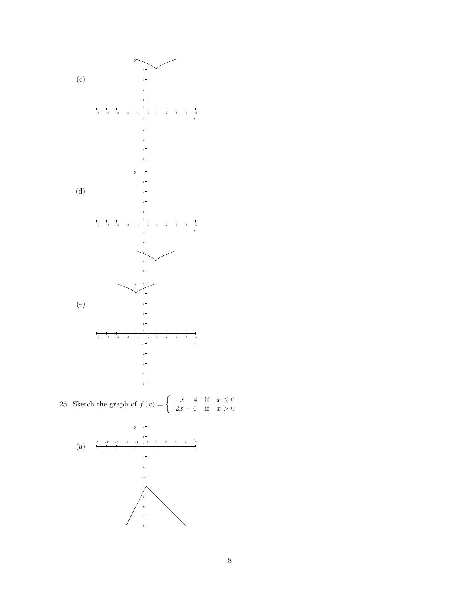

25. Sketch the graph of  $f(x) = \begin{cases} -x-4 & \text{if } x \leq 0 \\ 2x-4 & \text{if } x > 0 \end{cases}$  $2x - 4$  if  $x > 0$ .

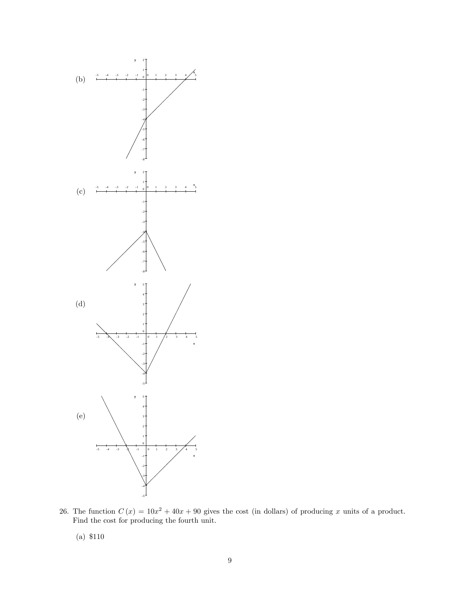

26. The function  $C(x) = 10x^2 + 40x + 90$  gives the cost (in dollars) of producing x units of a product. Find the cost for producing the fourth unit.

(a) \$110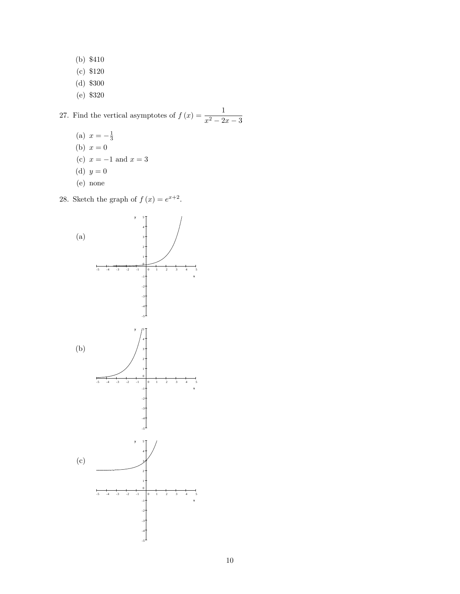- (b) \$410
- (c) \$120
- (d) \$300
- (e) \$320

## 27. Find the vertical asymptotes of  $f(x) = \frac{1}{x^2 - 2x - 3}$

- (a)  $x = -\frac{1}{3}$ (b)  $x = 0$ (c)  $x = -1$  and  $x = 3$ (d)  $y = 0$
- (e) none

28. Sketch the graph of  $f(x) = e^{x+2}$ .

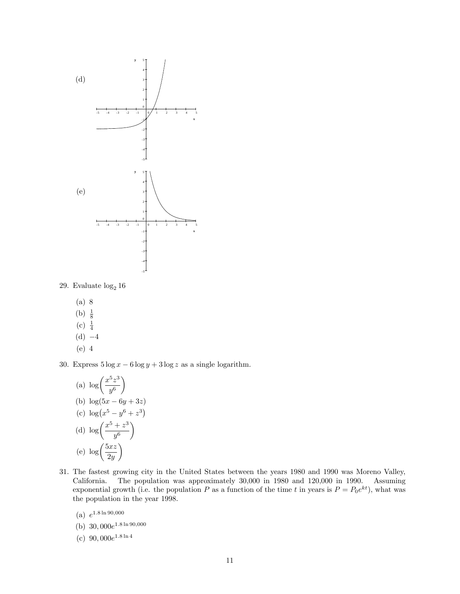

29. Evaluate $\log_2 16$ 

(a) 8 (b)  $\frac{1}{8}$ (c)  $\frac{1}{4}$  $(d) -4$ 

$$
(e) 4
$$

30. Express  $5 \log x - 6 \log y + 3 \log z$  as a single logarithm.

(a) 
$$
\log\left(\frac{x^5z^3}{y^6}\right)
$$
  
\n(b)  $\log(5x - 6y + 3z)$   
\n(c)  $\log(x^5 - y^6 + z^3)$   
\n(d)  $\log\left(\frac{x^5 + z^3}{y^6}\right)$   
\n(e)  $\log\left(\frac{5xz}{2y}\right)$ 

- 31. The fastest growing city in the United States between the years 1980 and 1990 was Moreno Valley, California. The population was approximately 30,000 in 1980 and 120,000 in 1990. Assuming exponential growth (i.e. the population P as a function of the time t in years is  $P = P_0 e^{kt}$ ), what was the population in the year 1998.
	- (a)  $e^{1.8 \ln 90,000}$
	- (b)  $30,000e^{1.8 \ln 90,000}$
	- (c)  $90,000e^{1.8 \ln 4}$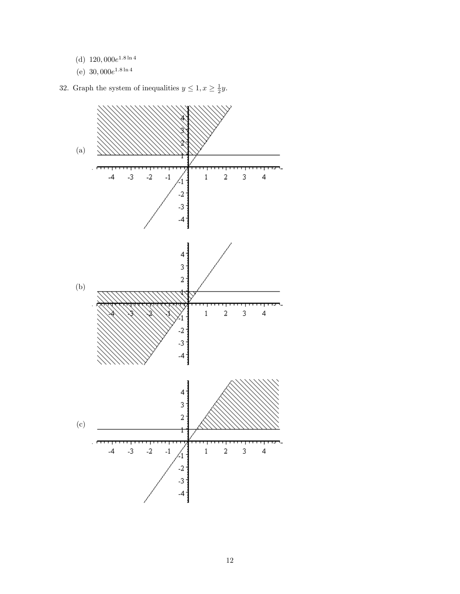- (d)  $120,000e^{1.8 \ln 4}$
- (e)  $30,000e^{1.8 \ln 4}$

32. Graph the system of inequalities  $y \leq 1, x \geq \frac{1}{2}y$ .

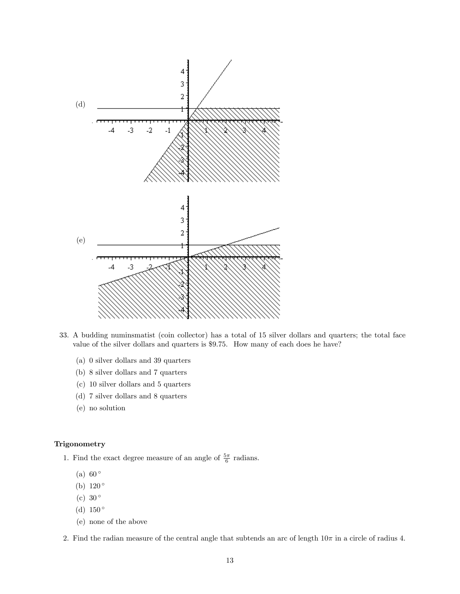

- 33. A budding numinsmatist (coin collector) has a total of 15 silver dollars and quarters; the total face value of the silver dollars and quarters is \$9.75. How many of each does he have?
	- (a) 0 silver dollars and 39 quarters
	- (b) 8 silver dollars and 7 quarters
	- (c) 10 silver dollars and 5 quarters
	- (d) 7 silver dollars and 8 quarters
	- (e) no solution

## Trigonometry

1. Find the exact degree measure of an angle of  $\frac{5\pi}{6}$  radians.

- (a)  $60^\circ$
- (b)  $120^{\circ}$
- (c)  $30^\circ$
- (d)  $150^{\circ}$
- (e) none of the above
- 2. Find the radian measure of the central angle that subtends an arc of length  $10\pi$  in a circle of radius 4.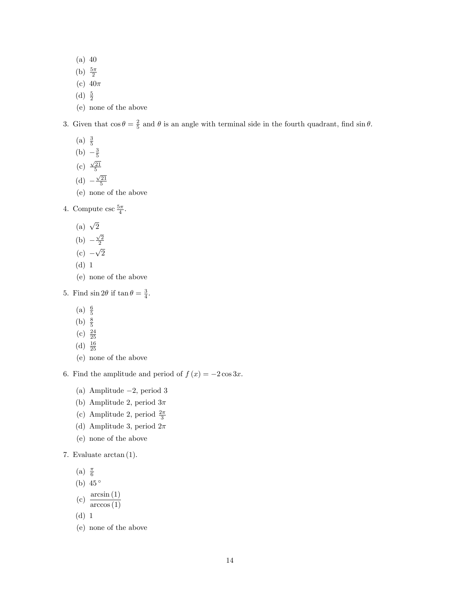(a) 40

- (b)  $\frac{5\pi}{2}$
- (c)  $40\pi$
- (d)  $\frac{5}{2}$
- (e) none of the above

3. Given that  $\cos \theta = \frac{2}{5}$  and  $\theta$  is an angle with terminal side in the fourth quadrant, find  $\sin \theta$ .

- $(a) \frac{3}{5}$ (b)  $-\frac{3}{5}$
- (c)  $\frac{\sqrt{21}}{5}$
- (d)  $-\frac{\sqrt{21}}{5}$
- (e) none of the above
- 4. Compute  $\csc \frac{5\pi}{4}$ .
	- (a)  $\sqrt{2}$
	- (b)  $-\frac{\sqrt{2}}{2}$

$$
(c) -\sqrt{2}
$$

- (d) 1
- (e) none of the above
- 5. Find  $\sin 2\theta$  if  $\tan \theta = \frac{3}{4}$ .
	- $(a) \frac{6}{5}$
	- (b)  $\frac{8}{5}$
	- $(c) \frac{24}{25}$
	- (d)  $\frac{16}{25}$
	- (e) none of the above

6. Find the amplitude and period of  $f(x) = -2\cos 3x$ .

- (a) Amplitude  $-2$ , period 3
- (b) Amplitude 2, period  $3\pi$
- (c) Amplitude 2, period  $\frac{2\pi}{3}$
- (d) Amplitude 3, period  $2\pi$
- (e) none of the above
- 7. Evaluate arctan (1).
	- (a)  $\frac{\pi}{6}$
	- (b)  $45^{\circ}$
	- (c)  $\frac{\arcsin(1)}{\arccos(1)}$
	- (d) 1
	- (e) none of the above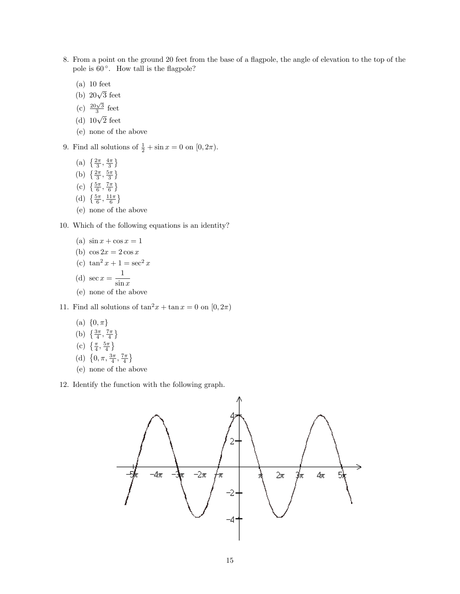- 8. From a point on the ground 20 feet from the base of a flagpole, the angle of elevation to the top of the pole is  $60^\circ$ . How tall is the flagpole?
	- (a) 10 feet
	- (b)  $20\sqrt{3}$  feet
	- (c)  $\frac{20\sqrt{3}}{3}$  feet
	- (d)  $10\sqrt{2}$  feet
	- (e) none of the above
- 9. Find all solutions of  $\frac{1}{2} + \sin x = 0$  on  $[0, 2\pi)$ .
	- (a)  $\left\{\frac{2\pi}{3}, \frac{4\pi}{3}\right\}$
	- (b)  $\left\{\frac{2\pi}{3}, \frac{5\pi}{3}\right\}$
	- (c)  $\left\{\frac{5\pi}{6}, \frac{7\pi}{6}\right\}$
	- (d)  $\left\{\frac{5\pi}{6}, \frac{11\pi}{6}\right\}$
	- (e) none of the above

10. Which of the following equations is an identity?

- (a)  $\sin x + \cos x = 1$
- (b)  $\cos 2x = 2 \cos x$

(c) 
$$
\tan^2 x + 1 = \sec^2 x
$$

(d) 
$$
\sec x = \frac{1}{\sin x}
$$

(e) none of the above

11. Find all solutions of  $\tan^2 x + \tan x = 0$  on  $[0, 2\pi)$ 

- (a)  $\{0, \pi\}$
- (b)  $\left\{\frac{3\pi}{4}, \frac{7\pi}{4}\right\}$

(c) 
$$
\left\{\frac{\pi}{4}, \frac{5\pi}{4}\right\}
$$

- (d)  $\{0, \pi, \frac{3\pi}{4}, \frac{7\pi}{4}\}$
- (e) none of the above

12. Identify the function with the following graph.

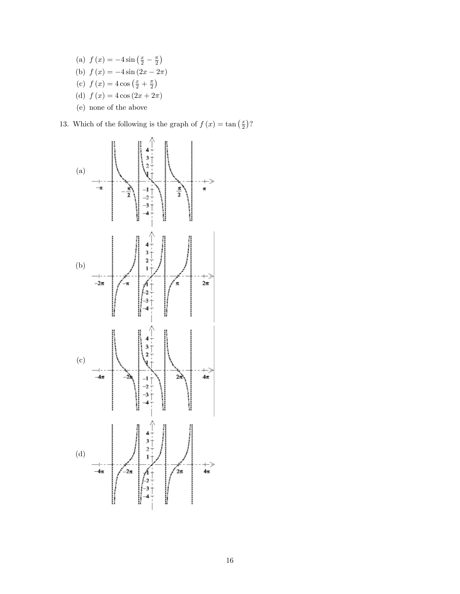(a)  $f(x) = -4\sin(\frac{x}{2} - \frac{\pi}{2})$ (b)  $f (x) = -4 \sin (2x - 2\pi)$ (c)  $f(x) = 4 \cos(\frac{x}{2} + \frac{\pi}{2})$ (d)  $f (x) = 4 \cos (2x + 2\pi)$ (e) none of the above

13. Which of the following is the graph of  $f(x) = \tan(\frac{x}{2})$ ?